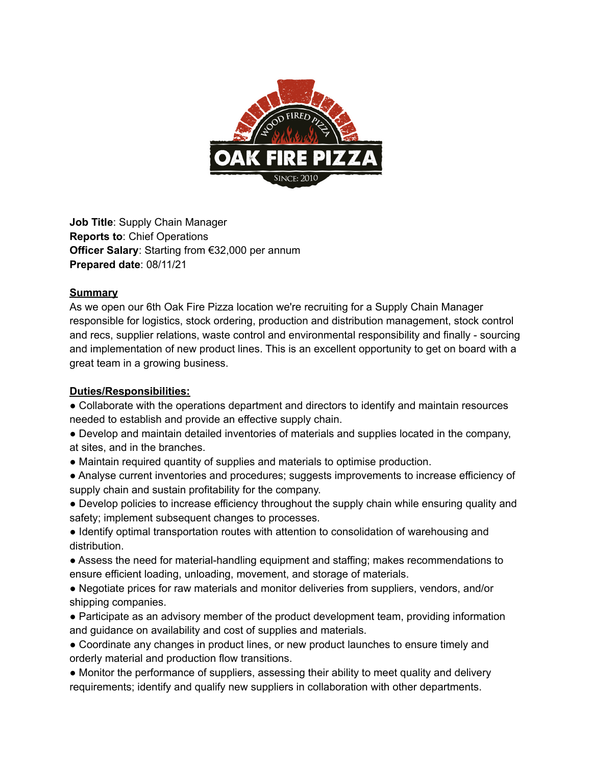

**Job Title**: Supply Chain Manager **Reports to**: Chief Operations **Officer Salary**: Starting from €32,000 per annum **Prepared date**: 08/11/21

## **Summary**

As we open our 6th Oak Fire Pizza location we're recruiting for a Supply Chain Manager responsible for logistics, stock ordering, production and distribution management, stock control and recs, supplier relations, waste control and environmental responsibility and finally - sourcing and implementation of new product lines. This is an excellent opportunity to get on board with a great team in a growing business.

## **Duties/Responsibilities:**

● Collaborate with the operations department and directors to identify and maintain resources needed to establish and provide an effective supply chain.

- Develop and maintain detailed inventories of materials and supplies located in the company, at sites, and in the branches.
- Maintain required quantity of supplies and materials to optimise production.
- Analyse current inventories and procedures; suggests improvements to increase efficiency of supply chain and sustain profitability for the company.

● Develop policies to increase efficiency throughout the supply chain while ensuring quality and safety; implement subsequent changes to processes.

● Identify optimal transportation routes with attention to consolidation of warehousing and distribution.

● Assess the need for material-handling equipment and staffing; makes recommendations to ensure efficient loading, unloading, movement, and storage of materials.

● Negotiate prices for raw materials and monitor deliveries from suppliers, vendors, and/or shipping companies.

● Participate as an advisory member of the product development team, providing information and guidance on availability and cost of supplies and materials.

• Coordinate any changes in product lines, or new product launches to ensure timely and orderly material and production flow transitions.

● Monitor the performance of suppliers, assessing their ability to meet quality and delivery requirements; identify and qualify new suppliers in collaboration with other departments.